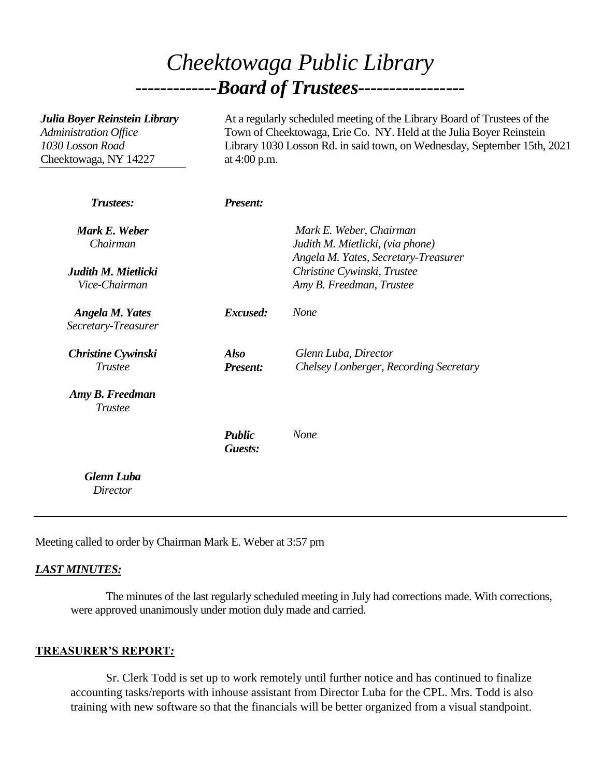# *Cheektowaga Public Library -------------Board of Trustees-----------------*

| Julia Boyer Reinstein Library<br>Administration Office<br>1030 Losson Road<br>Cheektowaga, NY 14227 | At a regularly scheduled meeting of the Library Board of Trustees of the<br>Town of Cheektowaga, Erie Co. NY. Held at the Julia Boyer Reinstein<br>Library 1030 Losson Rd. in said town, on Wednesday, September 15th, 2021<br>at 4:00 p.m. |                                                                                                     |
|-----------------------------------------------------------------------------------------------------|---------------------------------------------------------------------------------------------------------------------------------------------------------------------------------------------------------------------------------------------|-----------------------------------------------------------------------------------------------------|
| Trustees:                                                                                           | <b>Present:</b>                                                                                                                                                                                                                             |                                                                                                     |
| Mark E. Weber<br>Chairman                                                                           |                                                                                                                                                                                                                                             | Mark E. Weber, Chairman<br>Judith M. Mietlicki, (via phone)<br>Angela M. Yates, Secretary-Treasurer |
| Judith M. Mietlicki<br>Vice-Chairman                                                                |                                                                                                                                                                                                                                             | Christine Cywinski, Trustee<br>Amy B. Freedman, Trustee                                             |
| <b>Angela M. Yates</b><br>Secretary-Treasurer                                                       | Excused:                                                                                                                                                                                                                                    | None                                                                                                |
| <b>Christine Cywinski</b><br><b>Trustee</b>                                                         | <b>Also</b><br><b>Present:</b>                                                                                                                                                                                                              | Glenn Luba, Director<br>Chelsey Lonberger, Recording Secretary                                      |
| Amy B. Freedman<br><b>Trustee</b>                                                                   |                                                                                                                                                                                                                                             |                                                                                                     |
|                                                                                                     | <b>Public</b><br>Guests:                                                                                                                                                                                                                    | None                                                                                                |
| <b>Glenn Luba</b><br><b>Director</b>                                                                |                                                                                                                                                                                                                                             |                                                                                                     |

Meeting called to order by Chairman Mark E. Weber at 3:57 pm

#### *LAST MINUTES:*

The minutes of the last regularly scheduled meeting in July had corrections made. With corrections, were approved unanimously under motion duly made and carried.

#### **TREASURER'S REPORT***:*

Sr. Clerk Todd is set up to work remotely until further notice and has continued to finalize accounting tasks/reports with inhouse assistant from Director Luba for the CPL. Mrs. Todd is also training with new software so that the financials will be better organized from a visual standpoint.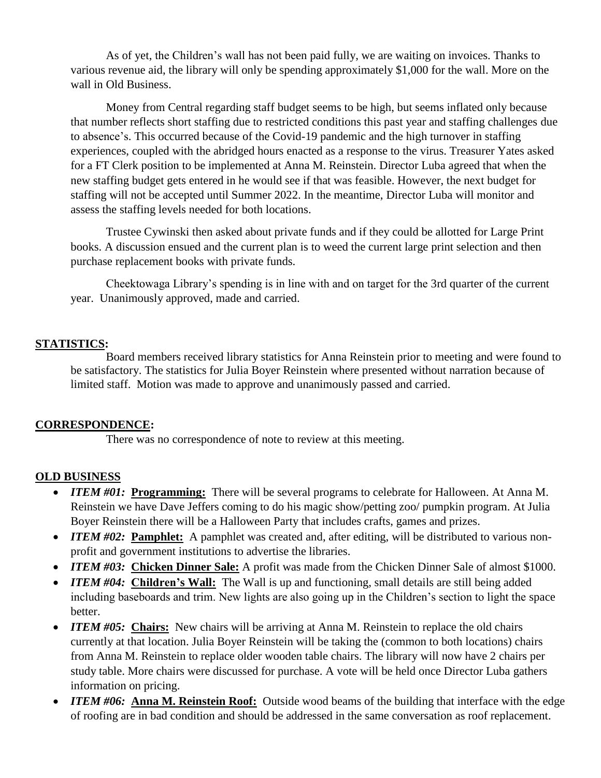As of yet, the Children's wall has not been paid fully, we are waiting on invoices. Thanks to various revenue aid, the library will only be spending approximately \$1,000 for the wall. More on the wall in Old Business.

Money from Central regarding staff budget seems to be high, but seems inflated only because that number reflects short staffing due to restricted conditions this past year and staffing challenges due to absence's. This occurred because of the Covid-19 pandemic and the high turnover in staffing experiences, coupled with the abridged hours enacted as a response to the virus. Treasurer Yates asked for a FT Clerk position to be implemented at Anna M. Reinstein. Director Luba agreed that when the new staffing budget gets entered in he would see if that was feasible. However, the next budget for staffing will not be accepted until Summer 2022. In the meantime, Director Luba will monitor and assess the staffing levels needed for both locations.

Trustee Cywinski then asked about private funds and if they could be allotted for Large Print books. A discussion ensued and the current plan is to weed the current large print selection and then purchase replacement books with private funds.

Cheektowaga Library's spending is in line with and on target for the 3rd quarter of the current year. Unanimously approved, made and carried.

### **STATISTICS:**

Board members received library statistics for Anna Reinstein prior to meeting and were found to be satisfactory. The statistics for Julia Boyer Reinstein where presented without narration because of limited staff. Motion was made to approve and unanimously passed and carried.

### **CORRESPONDENCE:**

There was no correspondence of note to review at this meeting.

### **OLD BUSINESS**

- *ITEM #01:* Programming: There will be several programs to celebrate for Halloween. At Anna M. Reinstein we have Dave Jeffers coming to do his magic show/petting zoo/ pumpkin program. At Julia Boyer Reinstein there will be a Halloween Party that includes crafts, games and prizes.
- *ITEM #02:* Pamphlet: A pamphlet was created and, after editing, will be distributed to various nonprofit and government institutions to advertise the libraries.
- *ITEM #03:* Chicken Dinner Sale: A profit was made from the Chicken Dinner Sale of almost \$1000.
- *ITEM #04:* Children's Wall: The Wall is up and functioning, small details are still being added including baseboards and trim. New lights are also going up in the Children's section to light the space better.
- *ITEM #05:* Chairs: New chairs will be arriving at Anna M. Reinstein to replace the old chairs currently at that location. Julia Boyer Reinstein will be taking the (common to both locations) chairs from Anna M. Reinstein to replace older wooden table chairs. The library will now have 2 chairs per study table. More chairs were discussed for purchase. A vote will be held once Director Luba gathers information on pricing.
- *ITEM #06:* **Anna M. Reinstein Roof:** Outside wood beams of the building that interface with the edge of roofing are in bad condition and should be addressed in the same conversation as roof replacement.